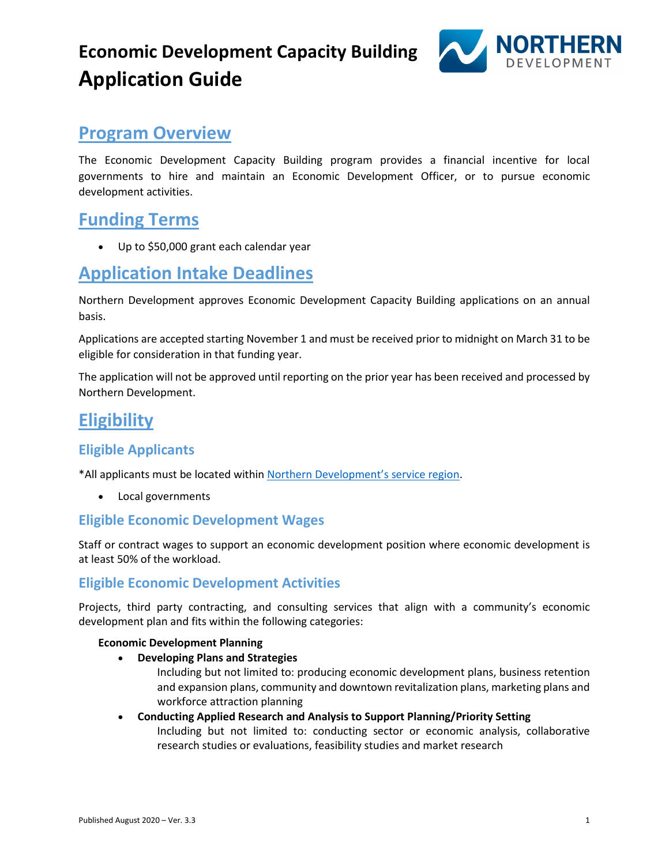# **Economic Development Capacity Building Application Guide**



# **Program Overview**

The Economic Development Capacity Building program provides a financial incentive for local governments to hire and maintain an Economic Development Officer, or to pursue economic development activities.

# **Funding Terms**

• Up to \$50,000 grant each calendar year

# **Application Intake Deadlines**

Northern Development approves Economic Development Capacity Building applications on an annual basis.

Applications are accepted starting November 1 and must be received prior to midnight on March 31 to be eligible for consideration in that funding year.

The application will not be approved until reporting on the prior year has been received and processed by Northern Development.

# **Eligibility**

## **Eligible Applicants**

\*All applicants must be located withi[n Northern Development's service region.](https://www.northerndevelopment.bc.ca/about/ndit-service-region/)

• Local governments

## **Eligible Economic Development Wages**

Staff or contract wages to support an economic development position where economic development is at least 50% of the workload.

## **Eligible Economic Development Activities**

Projects, third party contracting, and consulting services that align with a community's economic development plan and fits within the following categories:

#### **Economic Development Planning**

• **Developing Plans and Strategies**

Including but not limited to: producing economic development plans, business retention and expansion plans, community and downtown revitalization plans, marketing plans and workforce attraction planning

#### • **Conducting Applied Research and Analysis to Support Planning/Priority Setting** Including but not limited to: conducting sector or economic analysis, collaborative research studies or evaluations, feasibility studies and market research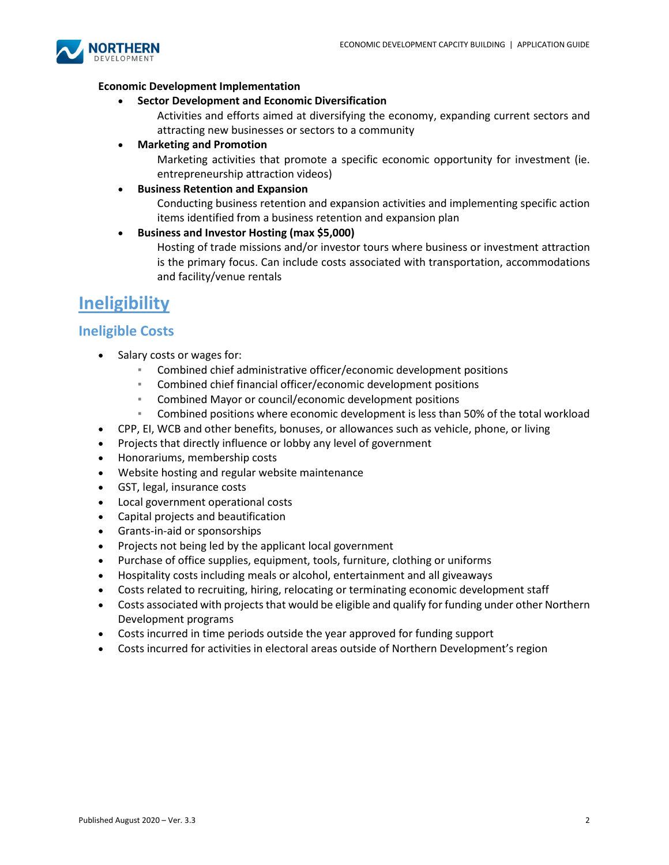

#### **Economic Development Implementation**

• **Sector Development and Economic Diversification**

Activities and efforts aimed at diversifying the economy, expanding current sectors and attracting new businesses or sectors to a community

• **Marketing and Promotion**

Marketing activities that promote a specific economic opportunity for investment (ie. entrepreneurship attraction videos)

#### • **Business Retention and Expansion**

Conducting business retention and expansion activities and implementing specific action items identified from a business retention and expansion plan

• **Business and Investor Hosting (max \$5,000)**

Hosting of trade missions and/or investor tours where business or investment attraction is the primary focus. Can include costs associated with transportation, accommodations and facility/venue rentals

# **Ineligibility**

## **Ineligible Costs**

- Salary costs or wages for:
	- Combined chief administrative officer/economic development positions
	- Combined chief financial officer/economic development positions
	- Combined Mayor or council/economic development positions
	- Combined positions where economic development is less than 50% of the total workload
- CPP, EI, WCB and other benefits, bonuses, or allowances such as vehicle, phone, or living
- Projects that directly influence or lobby any level of government
- Honorariums, membership costs
- Website hosting and regular website maintenance
- GST, legal, insurance costs
- Local government operational costs
- Capital projects and beautification
- Grants-in-aid or sponsorships
- Projects not being led by the applicant local government
- Purchase of office supplies, equipment, tools, furniture, clothing or uniforms
- Hospitality costs including meals or alcohol, entertainment and all giveaways
- Costs related to recruiting, hiring, relocating or terminating economic development staff
- Costs associated with projects that would be eligible and qualify for funding under other Northern Development programs
- Costs incurred in time periods outside the year approved for funding support
- Costs incurred for activities in electoral areas outside of Northern Development's region